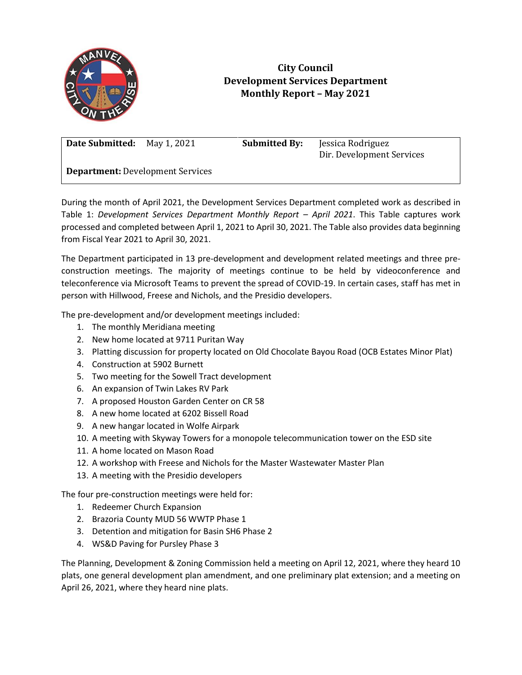

## **City Council Development Services Department Monthly Report – May 2021**

**Date Submitted:** May 1, 2021 **Submitted By:** Jessica Rodriguez

Dir. Development Services

**Department:** Development Services

During the month of April 2021, the Development Services Department completed work as described in Table 1: *Development Services Department Monthly Report - April 2021. This Table captures work* processed and completed between April 1, 2021 to April 30, 2021. The Table also provides data beginning from Fiscal Year 2021 to April 30, 2021.

The Department participated in 13 pre-development and development related meetings and three preconstruction meetings. The majority of meetings continue to be held by videoconference and teleconference via Microsoft Teams to prevent the spread of COVID-19. In certain cases, staff has met in person with Hillwood, Freese and Nichols, and the Presidio developers.

The pre-development and/or development meetings included:

- 1. The monthly Meridiana meeting
- 2. New home located at 9711 Puritan Way
- 3. Platting discussion for property located on Old Chocolate Bayou Road (OCB Estates Minor Plat)
- 4. Construction at 5902 Burnett
- 5. Two meeting for the Sowell Tract development
- 6. An expansion of Twin Lakes RV Park
- 7. A proposed Houston Garden Center on CR 58
- 8. A new home located at 6202 Bissell Road
- 9. A new hangar located in Wolfe Airpark
- 10. A meeting with Skyway Towers for a monopole telecommunication tower on the ESD site
- 11. A home located on Mason Road
- 12. A workshop with Freese and Nichols for the Master Wastewater Master Plan
- 13. A meeting with the Presidio developers

The four pre-construction meetings were held for:

- 1. Redeemer Church Expansion
- 2. Brazoria County MUD 56 WWTP Phase 1
- 3. Detention and mitigation for Basin SH6 Phase 2
- 4. WS&D Paving for Pursley Phase 3

The Planning, Development & Zoning Commission held a meeting on April 12, 2021, where they heard 10 plats, one general development plan amendment, and one preliminary plat extension; and a meeting on April 26, 2021, where they heard nine plats.